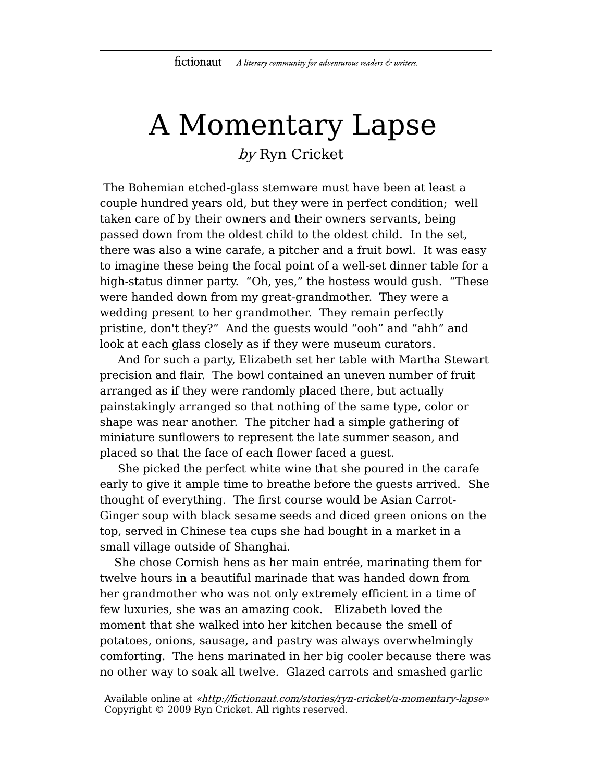## A Momentary Lapse by Ryn Cricket

The Bohemian etched-glass stemware must have been at least a couple hundred years old, but they were in perfect condition; well taken care of by their owners and their owners servants, being passed down from the oldest child to the oldest child. In the set, there was also a wine carafe, a pitcher and a fruit bowl. It was easy to imagine these being the focal point of a well-set dinner table for a high-status dinner party. "Oh, yes," the hostess would gush. "These were handed down from my great-grandmother. They were a wedding present to her grandmother. They remain perfectly pristine, don't they?" And the guests would "ooh" and "ahh" and look at each glass closely as if they were museum curators.

And for such a party, Elizabeth set her table with Martha Stewart precision and flair. The bowl contained an uneven number of fruit arranged as if they were randomly placed there, but actually painstakingly arranged so that nothing of the same type, color or shape was near another. The pitcher had a simple gathering of miniature sunflowers to represent the late summer season, and placed so that the face of each flower faced a guest.

She picked the perfect white wine that she poured in the carafe early to give it ample time to breathe before the guests arrived. She thought of everything. The first course would be Asian Carrot-Ginger soup with black sesame seeds and diced green onions on the top, served in Chinese tea cups she had bought in a market in a small village outside of Shanghai.

She chose Cornish hens as her main entrée, marinating them for twelve hours in a beautiful marinade that was handed down from her grandmother who was not only extremely efficient in a time of few luxuries, she was an amazing cook. Elizabeth loved the moment that she walked into her kitchen because the smell of potatoes, onions, sausage, and pastry was always overwhelmingly comforting. The hens marinated in her big cooler because there was no other way to soak all twelve. Glazed carrots and smashed garlic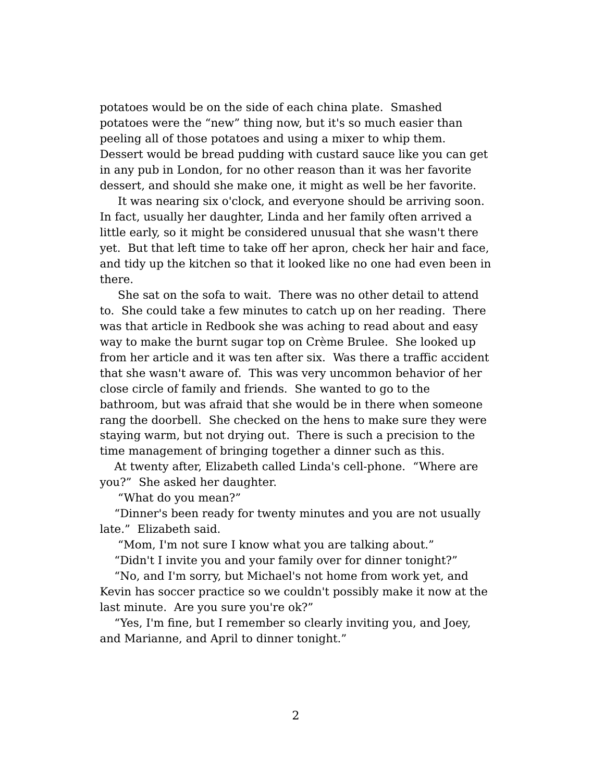potatoes would be on the side of each china plate. Smashed potatoes were the "new" thing now, but it's so much easier than peeling all of those potatoes and using a mixer to whip them. Dessert would be bread pudding with custard sauce like you can get in any pub in London, for no other reason than it was her favorite dessert, and should she make one, it might as well be her favorite.

It was nearing six o'clock, and everyone should be arriving soon. In fact, usually her daughter, Linda and her family often arrived a little early, so it might be considered unusual that she wasn't there yet. But that left time to take off her apron, check her hair and face, and tidy up the kitchen so that it looked like no one had even been in there.

She sat on the sofa to wait. There was no other detail to attend to. She could take a few minutes to catch up on her reading. There was that article in Redbook she was aching to read about and easy way to make the burnt sugar top on Crème Brulee. She looked up from her article and it was ten after six. Was there a traffic accident that she wasn't aware of. This was very uncommon behavior of her close circle of family and friends. She wanted to go to the bathroom, but was afraid that she would be in there when someone rang the doorbell. She checked on the hens to make sure they were staying warm, but not drying out. There is such a precision to the time management of bringing together a dinner such as this.

At twenty after, Elizabeth called Linda's cell-phone. "Where are you?" She asked her daughter.

"What do you mean?"

"Dinner's been ready for twenty minutes and you are not usually late." Elizabeth said.

"Mom, I'm not sure I know what you are talking about."

"Didn't I invite you and your family over for dinner tonight?"

"No, and I'm sorry, but Michael's not home from work yet, and Kevin has soccer practice so we couldn't possibly make it now at the last minute. Are you sure you're ok?"

"Yes, I'm fine, but I remember so clearly inviting you, and Joey, and Marianne, and April to dinner tonight."